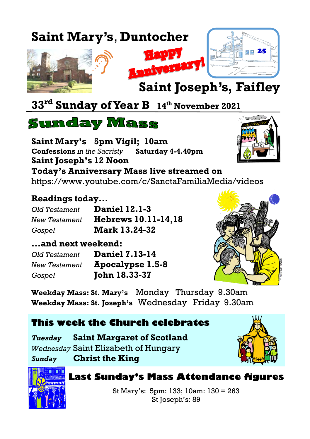# **Saint Mary's**, **Duntocher**







 $\sim$ 

# **Saint Joseph's, Faifley**

# **33rd Sunday of Year B <sup>14</sup>th November 2021**

## **Sunday Mass**

**Saint Mary's 5pm Vigil; 10am Confessions** *in the Sacristy* **Saturday 4-4.40pm Saint Joseph's 12 Noon Today's Anniversary Mass live streamed on** <https://www.youtube.com/c/SanctaFamiliaMedia/videos>

#### **Readings today...**

| Old Testament | <b>Daniel 12.1-3</b>       |
|---------------|----------------------------|
| New Testament | <b>Hebrews 10.11-14,18</b> |
| Gospel        | <b>Mark 13.24-32</b>       |

#### **...and next weekend:**

| Old Testament        | <b>Daniel 7.13-14</b> |  |  |
|----------------------|-----------------------|--|--|
| <b>New Testament</b> | Apocalypse 1.5-8      |  |  |
| Gospel               | <b>John 18.33-37</b>  |  |  |



**Weekday Mass: St. Mary's** Monday Thursday 9.30am **Weekday Mass: St. Joseph's** Wednesday Friday 9.30am

#### **This week the Church celebrates**

*Tuesday* **Saint Margaret of Scotland** *Wednesday* Saint Elizabeth of Hungary

*Sunday* **Christ the King**





#### **Last Sunday's Mass Attendance figures**

St Mary's: 5pm: 133; 10am: 130 = 263 St Joseph's: 89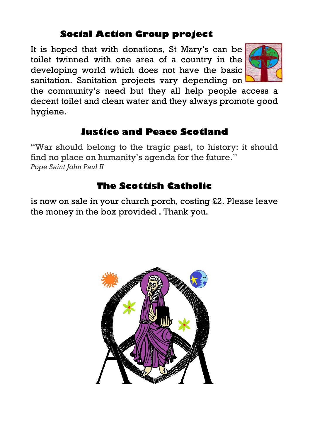### **Social Action Group project**

It is hoped that with donations, St Mary's can be toilet twinned with one area of a country in the developing world which does not have the basic sanitation. Sanitation projects vary depending on



the community's need but they all help people access a decent toilet and clean water and they always promote good hygiene.

#### **Justice and Peace Scotland**

"War should belong to the tragic past, to history: it should find no place on humanity's agenda for the future." *Pope Saint John Paul II*

### **The Scottish Catholic**

is now on sale in your church porch, costing £2. Please leave the money in the box provided . Thank you.

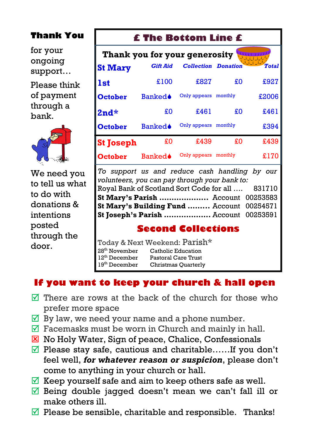#### **Thank You**

for your ongoing support…

Please think of payment through a bank.



We need you to tell us what to do with donations & intentions posted through the door.

#### **£ The Bottom Line £**

| Thank you for your generosity |                 |                            |         |              |  |  |
|-------------------------------|-----------------|----------------------------|---------|--------------|--|--|
| <b>St Mary</b>                | <b>Gift Aid</b> | <b>Collection Donation</b> |         | <b>Total</b> |  |  |
| <b>1st</b>                    | £100            | £827                       | £O      | £927         |  |  |
| <b>October</b>                | <b>Banked</b>   | Only appears monthly       |         | £2006        |  |  |
| $2nd*$                        | £O              | £461                       | £O      | £461         |  |  |
| <b>October</b>                | <b>Banked</b>   | Only appears monthly       |         | £394         |  |  |
| <b>St Joseph</b>              | £0              | £439                       | £0      | £439         |  |  |
| October                       | Banked♦         | Only appears               | monthly | £170         |  |  |

*To support us and reduce cash handling by our volunteers, you can pay through your bank to:* Royal Bank of Scotland Sort Code for all …. 831710 **St Mary's Parish ………………..** Account 00253583 **St Mary's Building Fund ……...** Account 00254571 **St Joseph's Parish ……………….** Account 00253591

#### **Second Collections**

Today & Next Weekend: Parish\* 28<sup>th</sup> November Catholic Education 12<sup>th</sup> December Pastoral Care Trust<br>19<sup>th</sup> December Christmas Ouarterl Christmas Ouarterly

#### **If you want to keep your church & hall open**

- $\overline{M}$  There are rows at the back of the church for those who prefer more space
- $\overline{\mathcal{A}}$  By law, we need your name and a phone number.
- $\triangledown$  Facemasks must be worn in Church and mainly in hall.
- $\boxtimes$  No Holy Water, Sign of peace, Chalice, Confessionals
- $\Psi$  Please stay safe, cautious and charitable......If you don't feel well, *for whatever reason or suspicion*, please don't come to anything in your church or hall.
- $\overline{\mathbb{Y}}$  Keep yourself safe and aim to keep others safe as well.
- $\overline{\mathbb{Z}}$  Being double jagged doesn't mean we can't fall ill or make others ill.
- $\triangledown$  Please be sensible, charitable and responsible. Thanks!